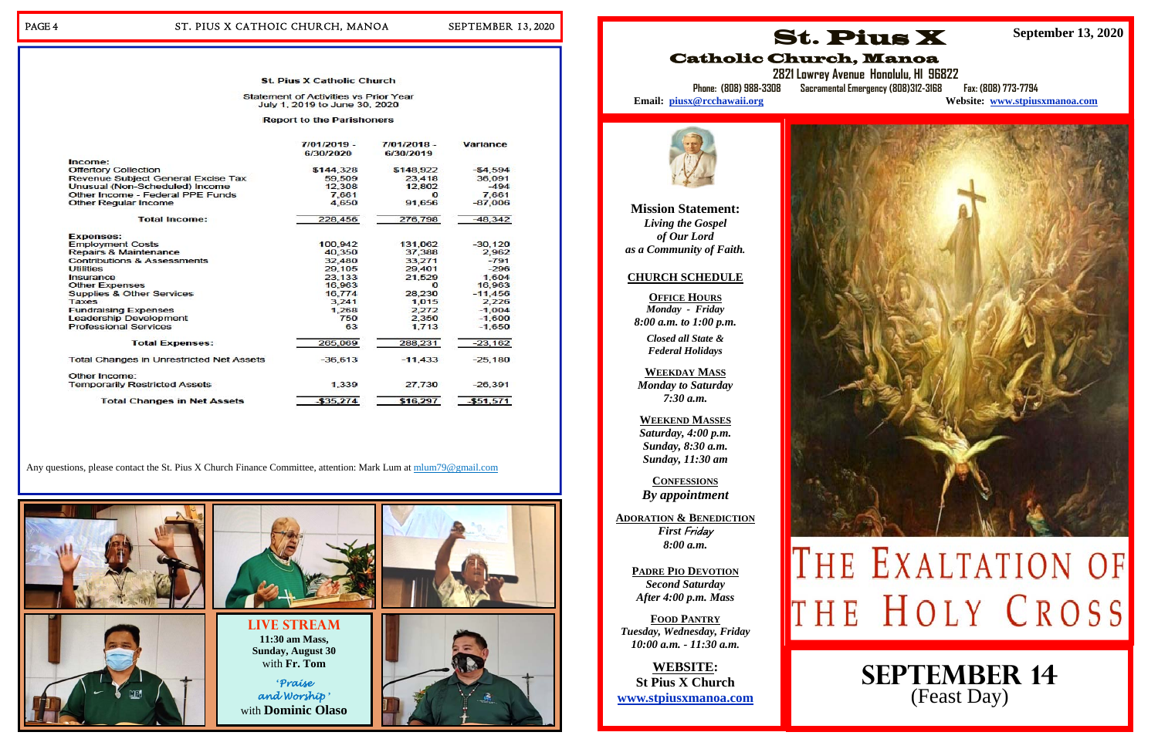#### PAGE 4 ST. PIUS X CATHOIC CHURCH, MANOA SEPTEMBER 13, 2020

#### **St. Pius X Catholic Church**

#### **Statement of Activities vs Prior Year** July 1, 2019 to June 30, 2020

**Report to the Parishoners** 

|                                                 | $7/01/2019 -$<br>6/30/2020 | $7/01/2018$ -<br>6/30/2019 | <b>Variance</b> |
|-------------------------------------------------|----------------------------|----------------------------|-----------------|
| Income:                                         |                            |                            |                 |
| Offertory Collection                            | \$144,328                  | \$148,922                  | $-54.594$       |
| <b>Revenue Subiect General Excise Tax</b>       | 59,509                     | 23.418                     | 36,091          |
| Unusual (Non-Scheduled) Income                  | 12,308                     | 12,802                     | $-494$          |
| Other Income - Federal PPE Funds                | 7.661                      | $\Omega$                   | 7,661           |
| <b>Other Regular Income</b>                     | 4.650                      | 91,656                     | $-87.006$       |
| <b>Total Income:</b>                            | 228,456                    | 276,798                    | $-48,342$       |
| <b>Expenses:</b>                                |                            |                            |                 |
| <b>Employment Costs</b>                         | 100,942                    | 131,062                    | $-30, 120$      |
| Repairs & Maintenance                           | 40,350                     | 37,388                     | 2,962           |
| <b>Contributions &amp; Assessments</b>          | 32,480                     | 33,271                     | $-791$          |
| <b>Utilities</b>                                | 29,105                     | 29,401                     | $-296$          |
| Insurance                                       | 23,133                     | 21,529                     | 1,604           |
| <b>Other Expenses</b>                           | 16,963                     | $\Omega$                   | 16,963          |
| <b>Supplies &amp; Other Services</b>            | 16,774                     | 28,230                     | $-11,456$       |
| Taxes                                           | 3.241                      | 1,015                      | 2.226           |
| <b>Fundraising Expenses</b>                     | 1,268                      | 2,272                      | $-1.004$        |
| <b>Leadership Development</b>                   | 750                        | 2,350                      | $-1,600$        |
| <b>Professional Services</b>                    | 63                         | 1.713                      | $-1.650$        |
| <b>Total Expenses:</b>                          | 265,069                    | 288,231                    | $-23,162$       |
| <b>Total Changes in Unrestricted Net Assets</b> | $-36,613$                  | $-11,433$                  | $-25,180$       |
| Other Income:                                   |                            |                            |                 |
| <b>Temporarily Restricted Assets</b>            | 1,339                      | 27,730                     | $-26,391$       |
| <b>Total Changes in Net Assets</b>              | $-535.274$                 | \$16,297                   | $-551.571$      |

Any questions, please contact the St. Pius X Church Finance Committee, attention: Mark Lum at mlum79@gmail.com



**Mission Statement:**  *Living the Gospel of Our Lord as a Community of Faith.* 

#### **CHURCH SCHEDULE**

**OFFICE HOURS***Monday - Friday 8:00 a.m. to 1:00 p.m.* 

**2821 Lowrey Avenue Honolulu, HI 96822 Phone: (808) 988-3308 Sacramental Emergency (808)312-3168 Fax: (808) 773-7794 Website: www.stpiusxmanoa.com** 

Email: piusx@rcchawaii.org



*Closed all State & Federal Holidays* 

**WEEKDAY MASS**  *Monday to Saturday 7:30 a.m.* 

**WEEKEND MASSES**  *Saturday, 4:00 p.m. Sunday, 8:30 a.m. Sunday, 11:30 am* 

**CONFESSIONS** *By appointment* 

**ADORATION & BENEDICTION** *First* Friday *8:00 a.m.* 

> **PADRE PIO DEVOTION** *Second Saturday After 4:00 p.m. Mass*

**FOOD PANTRY** *Tuesday, Wednesday, Friday 10:00 a.m. - 11:30 a.m.* 

**WEBSITE: St Pius X Church www.stpiusxmanoa.com** 



## Catholic Church, Manoa

**September 13, 2020** 



# THE EXALTATION OF THE HOLY CROSS

**September 14**  (Feast Day)